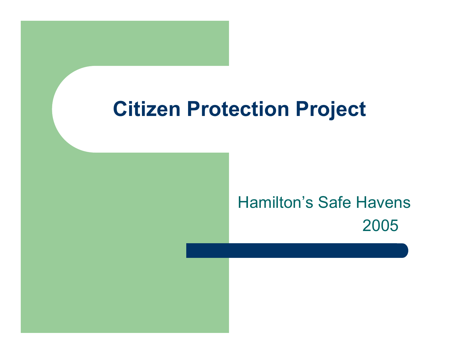### **Citizen Protection Project**

#### Hamilton's Safe Havens2005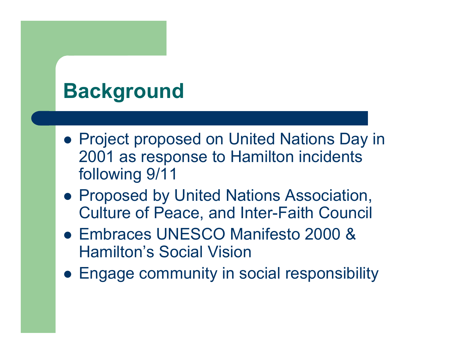## **Background**

- Project proposed on United Nations Day in 2001 as response to Hamilton incidents following 9/11
- Proposed by United Nations Association, Culture of Peace, and Inter-Faith Council
- **Embraces UNESCO Manifesto 2000 &** Hamilton's Social Vision
- Engage community in social responsibility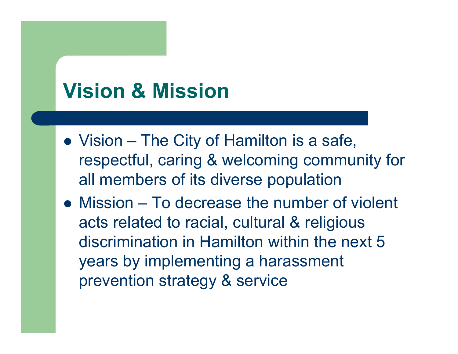## **Vision & Mission**

- Vision The City of Hamilton is a safe, respectful, caring & welcoming community for all members of its diverse population
- Mission To decrease the number of violent acts related to racial, cultural & religious discrimination in Hamilton within the next 5 years by implementing a harassment prevention strategy & service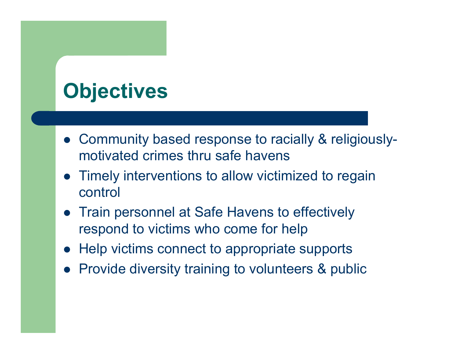# **Objectives**

- Community based response to racially & religiouslymotivated crimes thru safe havens
- Timely interventions to allow victimized to regain control
- Train personnel at Safe Havens to effectively respond to victims who come for help
- $\bullet$ Help victims connect to appropriate supports
- Provide diversity training to volunteers & public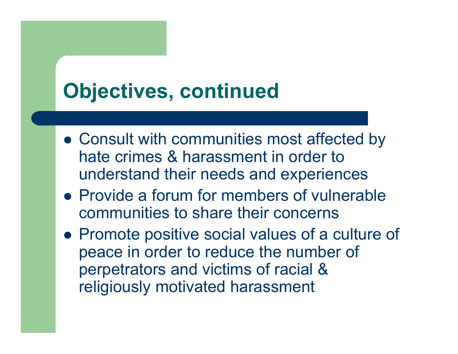## **Objectives, continued**

- Consult with communities most affected by hate crimes & harassment in order to understand their needs and experiences
- Provide a forum for members of vulnerable communities to share their concerns
- Promote positive social values of a culture of peace in order to reduce the number of perpetrators and victims of racial & religiously motivated harassment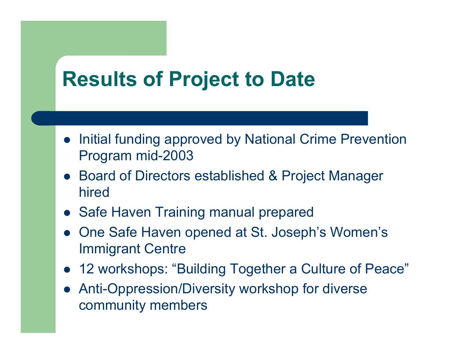### **Results of Project to Date**

- $\bullet$  Initial funding approved by National Crime Prevention Program mid-2003
- $\bullet$  Board of Directors established & Project Manager hired
- Safe Haven Training manual prepared
- $\bullet$  One Safe Haven opened at St. Joseph's Women's Immigrant Centre
- 12 workshops: "Building Together a Culture of Peace"
- $\bullet$  Anti-Oppression/Diversity workshop for diverse community members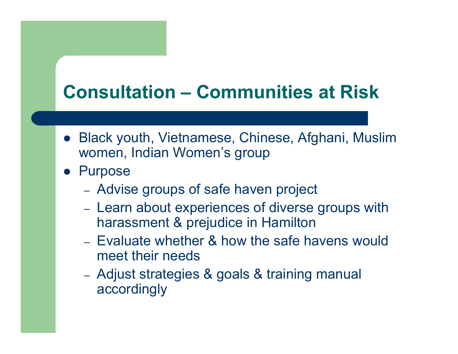### **Consultation –Communities at Risk**

- Black youth, Vietnamese, Chinese, Afghani, Muslim women, Indian Women's group
- **•** Purpose
	- Advise groups of safe haven project
	- –- Learn about experiences of diverse groups with harassment & prejudice in Hamilton
	- Evaluate whether & how the safe havens would meet their needs
	- Adjust strategies & goals & training manual accordingly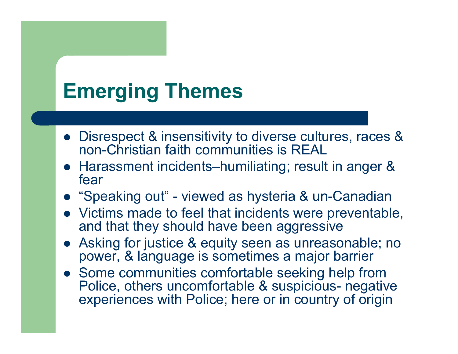## **Emerging Themes**

- Disrespect & insensitivity to diverse cultures, races & non-Christian faith communities is REAL
- $\bullet$  Harassment incidents–humiliating; result in anger & fear
- "Speaking out" viewed as hysteria & un-Canadian
- Victims made to feel that incidents were preventable, and that they should have been aggressive
- $\bullet$  Asking for justice & equity seen as unreasonable; no power, & language is sometimes a major barrier
- Some communities comfortable seeking help from Police, others uncomfortable & suspicious- negative experiences with Police; here or in country of origin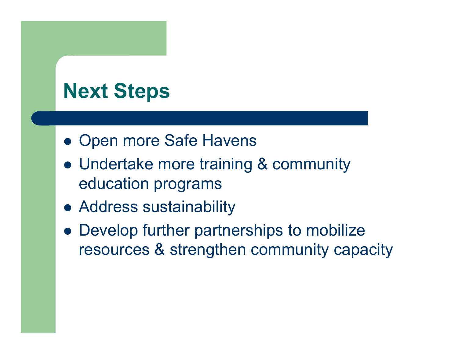## **Next Steps**

- Open more Safe Havens
- Undertake more training & community education programs
- Address sustainability
- $\bullet$  Develop further partnerships to mobilize resources & strengthen community capacity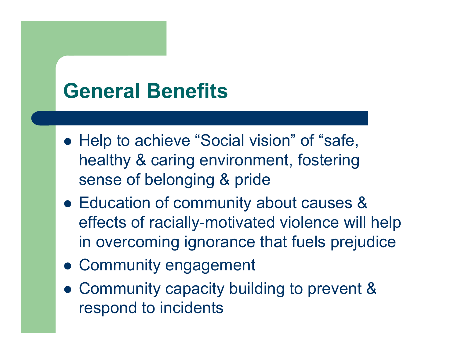### **General Benefits**

- Help to achieve "Social vision" of "safe, healthy & caring environment, fostering sense of belonging & pride
- Education of community about causes & effects of racially-motivated violence will help in overcoming ignorance that fuels prejudice
- Community engagement
- Community capacity building to prevent & respond to incidents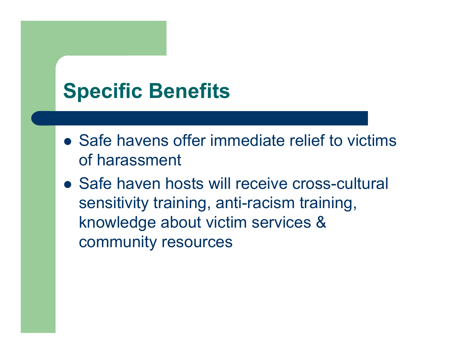### **Specific Benefits**

- Safe havens offer immediate relief to victims of harassment
- Safe haven hosts will receive cross-cultural sensitivity training, anti-racism training, knowledge about victim services & community resources